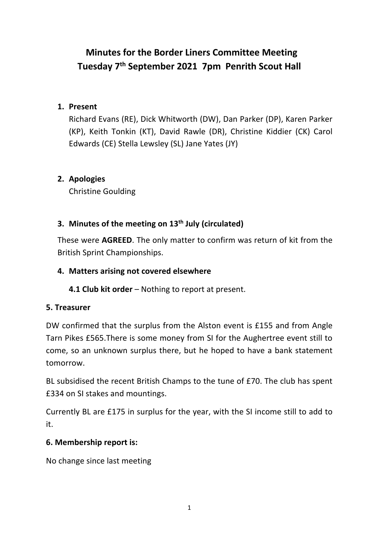# **Minutes for the Border Liners Committee Meeting Tuesday 7th September 2021 7pm Penrith Scout Hall**

#### **1. Present**

Richard Evans (RE), Dick Whitworth (DW), Dan Parker (DP), Karen Parker (KP), Keith Tonkin (KT), David Rawle (DR), Christine Kiddier (CK) Carol Edwards (CE) Stella Lewsley (SL) Jane Yates (JY)

# **2. Apologies**

Christine Goulding

# **3. Minutes of the meeting on 13th July (circulated)**

These were **AGREED**. The only matter to confirm was return of kit from the British Sprint Championships.

## **4. Matters arising not covered elsewhere**

**4.1 Club kit order** – Nothing to report at present.

# **5. Treasurer**

DW confirmed that the surplus from the Alston event is £155 and from Angle Tarn Pikes £565.There is some money from SI for the Aughertree event still to come, so an unknown surplus there, but he hoped to have a bank statement tomorrow.

BL subsidised the recent British Champs to the tune of £70. The club has spent £334 on SI stakes and mountings.

Currently BL are £175 in surplus for the year, with the SI income still to add to it.

#### **6. Membership report is:**

No change since last meeting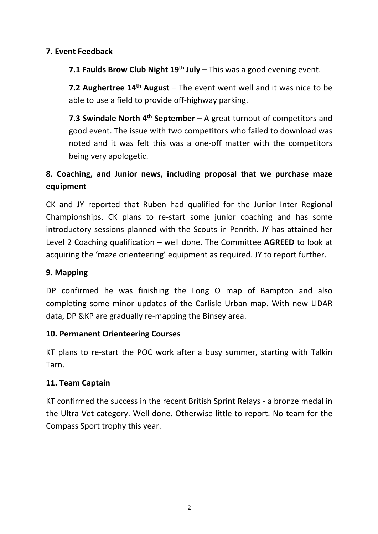#### **7. Event Feedback**

**7.1 Faulds Brow Club Night 19th July** – This was a good evening event.

**7.2 Aughertree 14th August** – The event went well and it was nice to be able to use a field to provide off-highway parking.

**7.3 Swindale North 4th September** – A great turnout of competitors and good event. The issue with two competitors who failed to download was noted and it was felt this was a one-off matter with the competitors being very apologetic.

# **8. Coaching, and Junior news, including proposal that we purchase maze equipment**

CK and JY reported that Ruben had qualified for the Junior Inter Regional Championships. CK plans to re-start some junior coaching and has some introductory sessions planned with the Scouts in Penrith. JY has attained her Level 2 Coaching qualification – well done. The Committee **AGREED** to look at acquiring the 'maze orienteering' equipment as required. JY to report further.

#### **9. Mapping**

DP confirmed he was finishing the Long O map of Bampton and also completing some minor updates of the Carlisle Urban map. With new LIDAR data, DP &KP are gradually re-mapping the Binsey area.

#### **10. Permanent Orienteering Courses**

KT plans to re-start the POC work after a busy summer, starting with Talkin Tarn.

#### **11. Team Captain**

KT confirmed the success in the recent British Sprint Relays - a bronze medal in the Ultra Vet category. Well done. Otherwise little to report. No team for the Compass Sport trophy this year.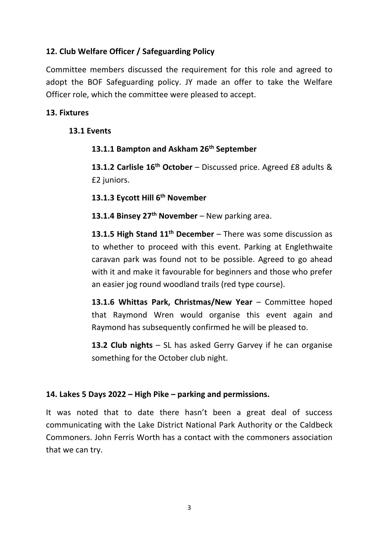## **12. Club Welfare Officer / Safeguarding Policy**

Committee members discussed the requirement for this role and agreed to adopt the BOF Safeguarding policy. JY made an offer to take the Welfare Officer role, which the committee were pleased to accept.

#### **13. Fixtures**

#### **13.1 Events**

#### **13.1.1 Bampton and Askham 26th September**

**13.1.2 Carlisle 16th October** – Discussed price. Agreed £8 adults & £2 juniors.

**13.1.3 Eycott Hill 6th November**

**13.1.4 Binsey 27th November** – New parking area.

**13.1.5 High Stand 11th December** – There was some discussion as to whether to proceed with this event. Parking at Englethwaite caravan park was found not to be possible. Agreed to go ahead with it and make it favourable for beginners and those who prefer an easier jog round woodland trails (red type course).

**13.1.6 Whittas Park, Christmas/New Year** – Committee hoped that Raymond Wren would organise this event again and Raymond has subsequently confirmed he will be pleased to.

**13.2 Club nights** – SL has asked Gerry Garvey if he can organise something for the October club night.

#### **14. Lakes 5 Days 2022 – High Pike – parking and permissions.**

It was noted that to date there hasn't been a great deal of success communicating with the Lake District National Park Authority or the Caldbeck Commoners. John Ferris Worth has a contact with the commoners association that we can try.